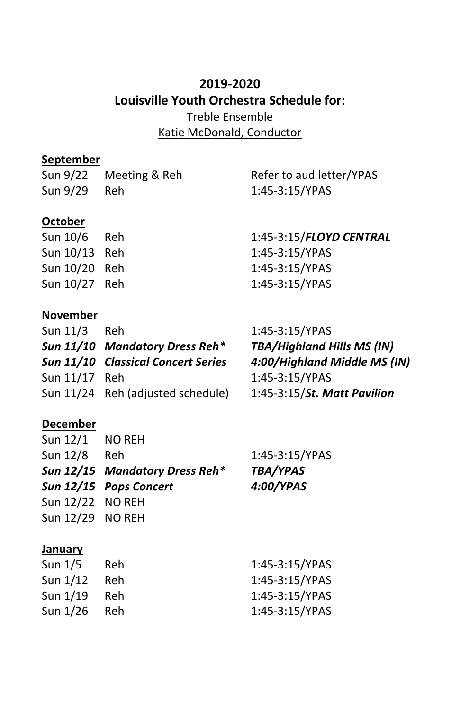# **2019-2020 Louisville Youth Orchestra Schedule for:** Treble Ensemble Katie McDonald, Conductor

## **September**

|              | Sun 9/22 Meeting & Reh | Refer to aud letter/YPAS |
|--------------|------------------------|--------------------------|
| Sun 9/29 Reh |                        | 1:45-3:15/YPAS           |
|              |                        |                          |

## **October**

| Sun 10/6      | Reh | 1:45-3:15/FLOYD CENTRAL |
|---------------|-----|-------------------------|
| Sun 10/13 Reh |     | 1:45-3:15/YPAS          |
| Sun 10/20 Reh |     | 1:45-3:15/YPAS          |
| Sun 10/27 Reh |     | 1:45-3:15/YPAS          |
|               |     |                         |

## **November**

| Sun 11/3 Reh  |                                    | 1:45-3:15/YPAS                    |
|---------------|------------------------------------|-----------------------------------|
|               | Sun 11/10 Mandatory Dress Reh*     | <b>TBA/Highland Hills MS (IN)</b> |
|               | Sun 11/10 Classical Concert Series | 4:00/Highland Middle MS (IN)      |
| Sun 11/17 Reh |                                    | 1:45-3:15/YPAS                    |
|               | Sun 11/24 Reh (adjusted schedule)  | 1:45-3:15/St. Matt Pavilion       |
|               |                                    |                                   |

# **December**

| Sun 12/1 NO REH  |                                |                 |
|------------------|--------------------------------|-----------------|
| Sun 12/8         | <b>Reh</b>                     | 1:45-3:15/YPAS  |
|                  | Sun 12/15 Mandatory Dress Reh* | <b>TBA/YPAS</b> |
|                  | Sun 12/15 Pops Concert         | 4:00/YPAS       |
| Sun 12/22 NO REH |                                |                 |
| Sun 12/29 NO REH |                                |                 |
|                  |                                |                 |
|                  |                                |                 |

#### **January**

| Sun $1/5$ | Reh. | 1:45-3:15/YPAS |
|-----------|------|----------------|
| Sun 1/12  | Reh. | 1:45-3:15/YPAS |
| Sun 1/19  | Reh. | 1:45-3:15/YPAS |
| Sun 1/26  | Reh. | 1:45-3:15/YPAS |
|           |      |                |